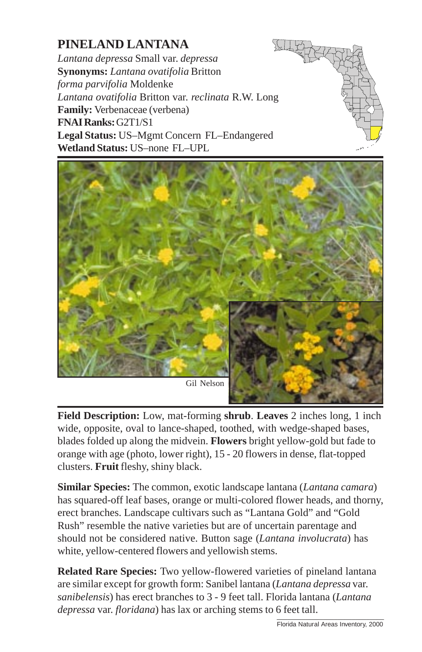## **PINELAND LANTANA**

*Lantana depressa* Small var. *depressa* **Synonyms:** *Lantana ovatifolia* Britton *forma parvifolia* Moldenke *Lantana ovatifolia* Britton var. *reclinata* R.W. Long **Family:** Verbenaceae (verbena) **FNAI Ranks:** G2T1/S1 **Legal Status:** US–Mgmt Concern FL–Endangered **Wetland Status:** US–none FL–UPL





**Field Description:** Low, mat-forming **shrub**. **Leaves** 2 inches long, 1 inch wide, opposite, oval to lance-shaped, toothed, with [wedge-shaped bases,](http://www.fnai.org) blades folded up along the midvein. **Flowers** bright yellow-gold but fade to orange with age (photo, lower right), 15 - 20 flowers in dense, flat-topped clusters. **Fruit** fleshy, shiny black.

**Similar Species:** The common, exotic landscape lantana (*Lantana camara*) has squared-off leaf bases, orange or multi-colored flower heads, and thorny, erect branches. Landscape cultivars such as "Lantana Gold" and "Gold Rush" resemble the native varieties but are of uncertain parentage and should not be considered native. Button sage (*Lantana involucrata*) has white, yellow-centered flowers and yellowish stems.

**Related Rare Species:** Two yellow-flowered varieties of pineland lantana are similar except for growth form: Sanibel lantana (*Lantana depressa* var. *sanibelensis*) has erect branches to 3 - 9 feet tall. Florida lantana (*Lantana depressa* var. *floridana*) has lax or arching stems to 6 feet tall.